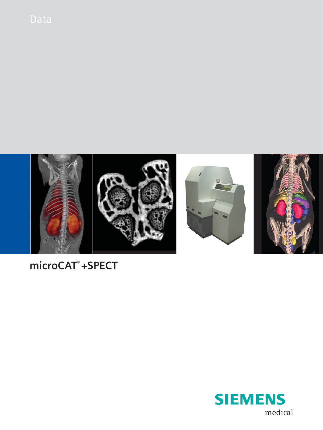

# **microCAT® +SPECT**

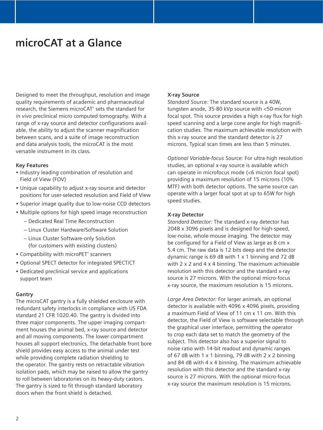# **microCAT at a Glance**

Designed to meet the throughput, resolution and image quality requirements of academic and pharmaceutical research, the Siemens microCAT® sets the standard for *in vivo* preclinical micro computed tomography. With a range of x-ray source and detector configurations available, the ability to adjust the scanner magnification between scans, and a suite of image reconstruction and data analysis tools, the microCAT is the most versatile instrument in its class.

#### **Key Features**

- Industry leading combination of resolution and Field of View (FOV)
- Unique capability to adjust x-ray source and detector positions for user-selected resolution and Field of View
- Superior image quality due to low-noise CCD detectors
- Multiple options for high speed image reconstruction
	- Dedicated Real Time Reconstruction
	- Linux Cluster Hardware/Software Solution
	- Linux Cluster Software-only Solution (for customers with existing clusters)
- Compatibility with microPET® scanners
- Optional SPECT detector for integrated SPECT/CT
- Dedicated preclinical service and applications support team

#### **Gantry**

The microCAT gantry is a fully shielded enclosure with redundant safety interlocks in compliance with US FDA standard 21 CFR 1020.40. The gantry is divided into three major components. The upper imaging compartment houses the animal bed, x-ray source and detector and all moving components. The lower compartment houses all support electronics. The detachable front bore shield provides easy access to the animal under test while providing complete radiation shielding to the operator. The gantry rests on retractable vibration isolation pads, which may be raised to allow the gantry to roll between laboratories on its heavy-duty castors. The gantry is sized to fit through standard laboratory doors when the front shield is detached.

## **X-ray Source**

*Standard Source:* The standard source is a 40W, tungsten anode, 35-80 kVp source with <50-micron focal spot. This source provides a high x-ray flux for high speed scanning and a large cone angle for high magnification studies. The maximum achievable resolution with this x-ray source and the standard detector is 27 microns. Typical scan times are less than 5 minutes.

*Optional Variable-focus Source:* For ultra-high resolution studies, an optional x-ray source is available which can operate in microfocus mode (<6 micron focal spot) providing a maximum resolution of 15 microns (10% MTF) with both detector options. The same source can operate with a larger focal spot at up to 65W for high speed studies.

#### **X-ray Detector**

*Standard Detector:* The standard x-ray detector has 2048 x 3096 pixels and is designed for high-speed, low-noise, whole-mouse imaging. The detector may be configured for a Field of View as large as 8 cm x 5.4 cm. The raw data is 12 bits deep and the detector dynamic range is 69 dB with 1 x 1 binning and 72 dB with 2 x 2 and 4 x 4 binning. The maximum achievable resolution with this detector and the standard x-ray source is 27 microns. With the optional micro-focus x-ray source, the maximum resolution is 15 microns.

*Large Area Detector:* For larger animals, an optional detector is available with 4096 x 4096 pixels, providing a maximum Field of View of 11 cm x 11 cm. With this detector, the Field of View is software selectable through the graphical user interface, permitting the operator to crop each data set to match the geometry of the subject. This detector also has a superior signal to noise ratio with 14-bit readout and dynamic ranges of 67 dB with 1  $\times$  1 binning, 79 dB with 2  $\times$  2 binning and 84 dB with 4 x 4 binning. The maximum achievable resolution with this detector and the standard x-ray source is 27 microns. With the optional micro-focus x-ray source the maximum resolution is 15 microns.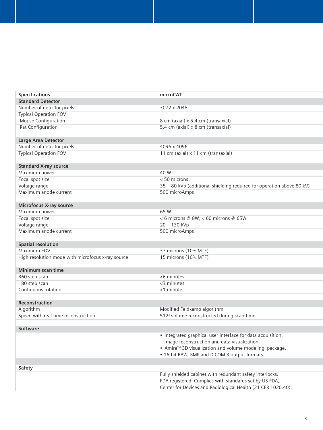| Specifications                                    | microCAT                                                              |
|---------------------------------------------------|-----------------------------------------------------------------------|
| <b>Standard Detector</b>                          |                                                                       |
| Number of detector pixels                         | 3072 x 2048                                                           |
| <b>Typical Operation FOV</b>                      |                                                                       |
| Mouse Configuration                               | 8 cm (axial) x 5.4 cm (transaxial)                                    |
| Rat Configuration                                 | 5.4 cm (axial) x 8 cm (transaxial)                                    |
|                                                   |                                                                       |
| Large Area Detector                               |                                                                       |
| Number of detector pixels                         | 4096 x 4096                                                           |
| <b>Typical Operation FOV</b>                      | 11 cm (axial) x 11 cm (transaxial)                                    |
|                                                   |                                                                       |
| <b>Standard X-ray source</b>                      |                                                                       |
| Maximum power                                     | 40 W                                                                  |
| Focal spot size                                   | $< 50$ microns                                                        |
| Voltage range                                     | 35 - 80 kVp (additional shielding required for operation above 80 kV) |
| Maximum anode current                             | 500 microAmps                                                         |
|                                                   |                                                                       |
| Microfocus X-ray source                           |                                                                       |
| Maximum power                                     | 65 W                                                                  |
| Focal spot size                                   | < 6 microns @ 8W; < 60 microns @ 65W                                  |
| Voltage range                                     | 20 - 130 kVp                                                          |
| Maximum anode current                             | 500 microAmps                                                         |
|                                                   |                                                                       |
| <b>Spatial resolution</b>                         |                                                                       |
| Maximum FOV                                       | 37 microns (10% MTF)                                                  |
| High resolution mode with microfocus x-ray source | 15 microns (10% MTF)                                                  |
|                                                   |                                                                       |
| Minimum scan time                                 |                                                                       |
| 360 step scan                                     | $<$ 6 minutes                                                         |
| 180 step scan                                     | $<$ 3 minutes                                                         |
| Continuous rotation                               | $<$ 1 minute                                                          |
|                                                   |                                                                       |
| Reconstruction                                    |                                                                       |
| Algorithm                                         | Modified Feldkamp algorithm                                           |
| Speed with real time reconstruction               | 512 <sup>3</sup> volume reconstructed during scan time.               |
|                                                   |                                                                       |
| Software                                          |                                                                       |
|                                                   | • Integrated graphical user interface for data acquisition,           |
|                                                   | image reconstruction and data visualization.                          |
|                                                   | • Amira™ 3D visualization and volume modeling package.                |
|                                                   | • 16-bit RAW, BMP and DICOM 3 output formats.                         |
|                                                   |                                                                       |
| Safety                                            |                                                                       |
|                                                   | Fully shielded cabinet with redundant safety interlocks.              |
|                                                   | FDA registered. Complies with standards set by US FDA,                |
|                                                   | Center for Devices and Radiological Health (21 CFR 1020.40).          |
|                                                   |                                                                       |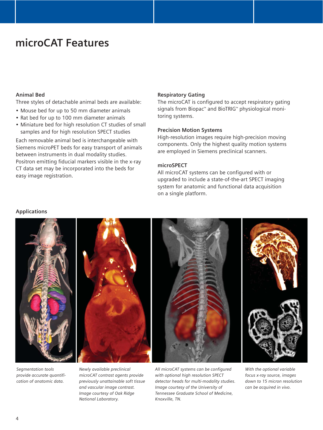# **microCAT Features**

## **Animal Bed**

Three styles of detachable animal beds are available:

- Mouse bed for up to 50 mm diameter animals
- Rat bed for up to 100 mm diameter animals
- Miniature bed for high resolution CT studies of small samples and for high resolution SPECT studies

Each removable animal bed is interchangeable with Siemens microPET beds for easy transport of animals between instruments in dual modality studies. Positron emitting fiducial markers visible in the x-ray CT data set may be incorporated into the beds for easy image registration.

#### **Respiratory Gating**

The microCAT is configured to accept respiratory gating signals from Biopac™ and BioTRIG™ physiological monitoring systems.

#### **Precision Motion Systems**

High-resolution images require high-precision moving components. Only the highest quality motion systems are employed in Siemens preclinical scanners.

### **microSPECT**

All microCAT systems can be configured with or upgraded to include a state-of-the-art SPECT imaging system for anatomic and functional data acquisition on a single platform.

#### **Applications**



*Segmentation tools provide accurate quantification of anatomic data.*

*Newly available preclinical microCAT contrast agents provide previously unattainable soft tissue and vascular image contrast. Image courtesy of Oak Ridge National Laboratory.*

*All microCAT systems can be configured with optional high resolution SPECT detector heads for multi-modality studies. Image courtesy of the University of Tennessee Graduate School of Medicine, Knoxville, TN.*

*With the optional variable focus x-ray source, images down to 15 micron resolution can be acquired in vivo.*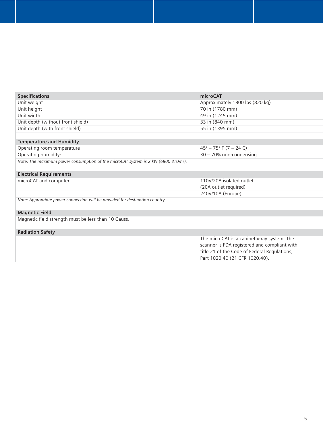| <b>Specifications</b>                                                             | microCAT                                     |
|-----------------------------------------------------------------------------------|----------------------------------------------|
| Unit weight                                                                       | Approximately 1800 lbs (820 kg)              |
| Unit height                                                                       | 70 in (1780 mm)                              |
| Unit width                                                                        | 49 in (1245 mm)                              |
| Unit depth (without front shield)                                                 | 33 in (840 mm)                               |
| Unit depth (with front shield)                                                    | 55 in (1395 mm)                              |
|                                                                                   |                                              |
| <b>Temperature and Humidity</b>                                                   |                                              |
| Operating room temperature                                                        | $45^{\circ} - 75^{\circ}$ F (7 – 24 C)       |
| Operating humidity:                                                               | 30 - 70% non-condensing                      |
| Note: The maximum power consumption of the microCAT system is 2 kW (6800 BTU/hr). |                                              |
| <b>Electrical Requirements</b>                                                    |                                              |
| microCAT and computer                                                             | 110V/20A isolated outlet                     |
|                                                                                   | (20A outlet required)                        |
|                                                                                   | 240V/10A (Europe)                            |
| Note: Appropriate power connection will be provided for destination country.      |                                              |
| <b>Magnetic Field</b>                                                             |                                              |
| Magnetic field strength must be less than 10 Gauss.                               |                                              |
|                                                                                   |                                              |
| <b>Radiation Safety</b>                                                           |                                              |
|                                                                                   | The microCAT is a cabinet x-ray system. The  |
|                                                                                   | scanner is FDA registered and compliant with |
|                                                                                   | title 21 of the Code of Federal Regulations, |
|                                                                                   | Part 1020.40 (21 CFR 1020.40).               |
|                                                                                   |                                              |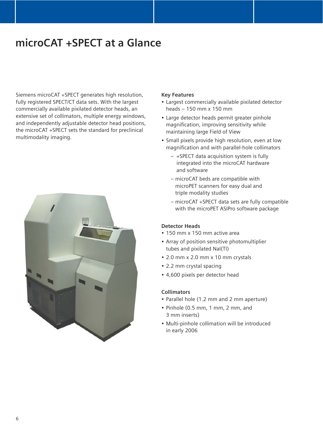# **microCAT +SPECT at a Glance**

Siemens microCAT +SPECT generates high resolution, fully registered SPECT/CT data sets. With the largest commercially available pixilated detector heads, an extensive set of collimators, multiple energy windows, and independently adjustable detector head positions, the microCAT +SPECT sets the standard for preclinical multimodality imaging.



### **Key Features**

- Largest commercially available pixilated detector heads – 150 mm x 150 mm
- Large detector heads permit greater pinhole magnification, improving sensitivity while maintaining large Field of View
- Small pixels provide high resolution, even at low magnification and with parallel-hole collimators
	- +SPECT data acquisition system is fully integrated into the microCAT hardware and software
	- microCAT beds are compatible with microPET scanners for easy dual and triple modality studies
	- microCAT +SPECT data sets are fully compatible with the microPET ASIPro software package

# **Detector Heads**

- 150 mm x 150 mm active area
- Array of position sensitive photomultiplier tubes and pixilated NaI(Tl)
- 2.0 mm x 2.0 mm x 10 mm crystals
- 2.2 mm crystal spacing
- 4,600 pixels per detector head

# **Collimators**

- Parallel hole (1.2 mm and 2 mm aperture)
- Pinhole (0.5 mm, 1 mm, 2 mm, and 3 mm inserts)
- Multi-pinhole collimation will be introduced in early 2006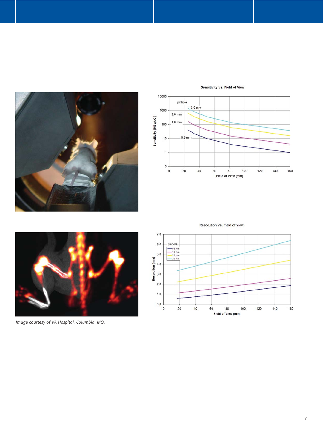

#### Sensitivity vs. Field of View



**Resolution vs. Field of View** 



*Image courtesy of VA Hospital, Columbia, MO.*